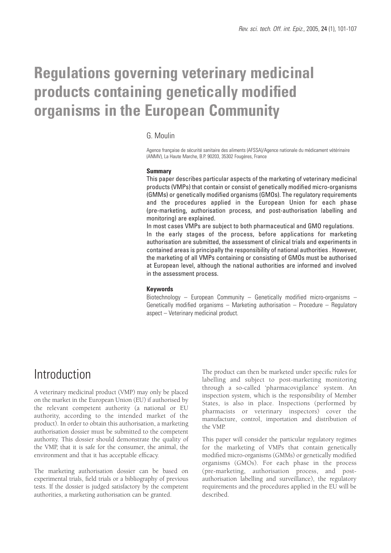# **Regulations governing veterinary medicinal products containing genetically modified organisms in the European Community**

### G. Moulin

Agence française de sécurité sanitaire des aliments (AFSSA)/Agence nationale du médicament vétérinaire (ANMV), La Haute Marche, B.P. 90203, 35302 Fougères, France

#### **Summary**

This paper describes particular aspects of the marketing of veterinary medicinal products (VMPs) that contain or consist of genetically modified micro-organisms (GMMs) or genetically modified organisms (GMOs). The regulatory requirements and the procedures applied in the European Union for each phase (pre-marketing, authorisation process, and post-authorisation labelling and monitoring) are explained.

In most cases VMPs are subject to both pharmaceutical and GMO regulations. In the early stages of the process, before applications for marketing authorisation are submitted, the assessment of clinical trials and experiments in contained areas is principally the responsibility of national authorities . However, the marketing of all VMPs containing or consisting of GMOs must be authorised at European level, although the national authorities are informed and involved in the assessment process.

#### **Keywords**

Biotechnology – European Community – Genetically modified micro-organisms – Genetically modified organisms – Marketing authorisation – Procedure – Regulatory aspect – Veterinary medicinal product.

# Introduction

A veterinary medicinal product (VMP) may only be placed on the market in the European Union (EU) if authorised by the relevant competent authority (a national or EU authority, according to the intended market of the product). In order to obtain this authorisation, a marketing authorisation dossier must be submitted to the competent authority. This dossier should demonstrate the quality of the VMP, that it is safe for the consumer, the animal, the environment and that it has acceptable efficacy.

The marketing authorisation dossier can be based on experimental trials, field trials or a bibliography of previous tests. If the dossier is judged satisfactory by the competent authorities, a marketing authorisation can be granted.

The product can then be marketed under specific rules for labelling and subject to post-marketing monitoring through a so-called 'pharmacovigilance' system. An inspection system, which is the responsibility of Member States, is also in place. Inspections (performed by pharmacists or veterinary inspectors) cover the manufacture, control, importation and distribution of the VMP.

This paper will consider the particular regulatory regimes for the marketing of VMPs that contain genetically modified micro-organisms (GMMs) or genetically modified organisms (GMOs). For each phase in the process (pre-marketing, authorisation process, and postauthorisation labelling and surveillance), the regulatory requirements and the procedures applied in the EU will be described.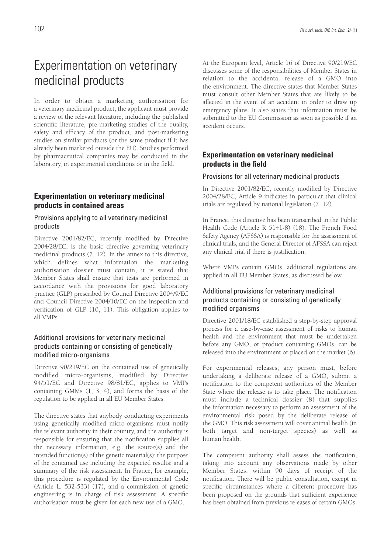# Experimentation on veterinary medicinal products

In order to obtain a marketing authorisation for a veterinary medicinal product, the applicant must provide a review of the relevant literature, including the published scientific literature, pre-marketing studies of the quality, safety and efficacy of the product, and post-marketing studies on similar products (or the same product if it has already been marketed outside the EU). Studies performed by pharmaceutical companies may be conducted in the laboratory, in experimental conditions or in the field.

### **Experimentation on veterinary medicinal products in contained areas**

### Provisions applying to all veterinary medicinal products

Directive 2001/82/EC, recently modified by Directive 2004/28/EC, is the basic directive governing veterinary medicinal products (7, 12). In the annex to this directive, which defines what information the marketing authorisation dossier must contain, it is stated that Member States shall ensure that tests are performed in accordance with the provisions for good laboratory practice (GLP) prescribed by Council Directive 2004/9/EC and Council Directive 2004/10/EC on the inspection and verification of GLP (10, 11). This obligation applies to all VMPs.

### Additional provisions for veterinary medicinal products containing or consisting of genetically modified micro-organisms

Directive 90/219/EC on the contained use of genetically modified micro-organisms, modified by Directive 94/51/EC and Directive 98/81/EC, applies to VMPs containing GMMs (1, 3, 4), and forms the basis of the regulation to be applied in all EU Member States.

The directive states that anybody conducting experiments using genetically modified micro-organisms must notify the relevant authority in their country, and the authority is responsible for ensuring that the notification supplies all the necessary information, e.g. the source(s) and the intended function(s) of the genetic material(s); the purpose of the contained use including the expected results; and a summary of the risk assessment. In France, for example, this procedure is regulated by the Environmental Code (Article L. 532-533) (17), and a commission of genetic engineering is in charge of risk assessment. A specific authorisation must be given for each new use of a GMO.

At the European level, Article 16 of Directive 90/219/EC discusses some of the responsibilities of Member States in relation to the accidental release of a GMO into the environment. The directive states that Member States must consult other Member States that are likely to be affected in the event of an accident in order to draw up emergency plans. It also states that information must be submitted to the EU Commission as soon as possible if an accident occurs.

# **Experimentation on veterinary medicinal products in the field**

### Provisions for all veterinary medicinal products

In Directive 2001/82/EC, recently modified by Directive 2004/28/EC, Article 9 indicates in particular that clinical trials are regulated by national legislation (7, 12).

In France, this directive has been transcribed in the Public Health Code (Article R 5141-8) (18). The French Food Safety Agency (AFSSA) is responsible for the assessment of clinical trials, and the General Director of AFSSA can reject any clinical trial if there is justification.

Where VMPs contain GMOs, additional regulations are applied in all EU Member States, as discussed below.

## Additional provisions for veterinary medicinal products containing or consisting of genetically modified organisms

Directive 2001/18/EC established a step-by-step approval process for a case-by-case assessment of risks to human health and the environment that must be undertaken before any GMO, or product containing GMOs, can be released into the environment or placed on the market (6).

For experimental releases, any person must, before undertaking a deliberate release of a GMO, submit a notification to the competent authorities of the Member State where the release is to take place. The notification must include a technical dossier (8) that supplies the information necessary to perform an assessment of the environmental risk posed by the deliberate release of the GMO. This risk assessment will cover animal health (in both target and non-target species) as well as human health.

The competent authority shall assess the notification, taking into account any observations made by other Member States, within 90 days of receipt of the notification. There will be public consultation, except in specific circumstances where a different procedure has been proposed on the grounds that sufficient experience has been obtained from previous releases of certain GMOs.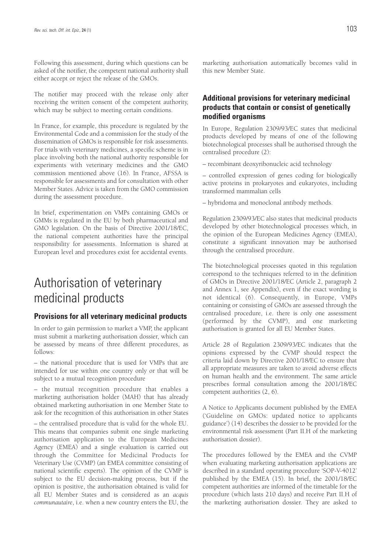Following this assessment, during which questions can be asked of the notifier, the competent national authority shall either accept or reject the release of the GMOs.

The notifier may proceed with the release only after receiving the written consent of the competent authority, which may be subject to meeting certain conditions.

In France, for example, this procedure is regulated by the Environmental Code and a commission for the study of the dissemination of GMOs is responsible for risk assessments. For trials with veterinary medicines, a specific scheme is in place involving both the national authority responsible for experiments with veterinary medicines and the GMO commission mentioned above (16). In France, AFSSA is responsible for assessments and for consultation with other Member States. Advice is taken from the GMO commission during the assessment procedure.

In brief, experimentation on VMPs containing GMOs or GMMs is regulated in the EU by both pharmaceutical and GMO legislation. On the basis of Directive 2001/18/EC, the national competent authorities have the principal responsibility for assessments. Information is shared at European level and procedures exist for accidental events.

# Authorisation of veterinary medicinal products

### **Provisions for all veterinary medicinal products**

In order to gain permission to market a VMP, the applicant must submit a marketing authorisation dossier, which can be assessed by means of three different procedures, as follows:

– the national procedure that is used for VMPs that are intended for use within one country only or that will be subject to a mutual recognition procedure

– the mutual recognition procedure that enables a marketing authorisation holder (MAH) that has already obtained marketing authorisation in one Member State to ask for the recognition of this authorisation in other States

– the centralised procedure that is valid for the whole EU. This means that companies submit one single marketing authorisation application to the European Medicines Agency (EMEA) and a single evaluation is carried out through the Committee for Medicinal Products for Veterinary Use (CVMP) (an EMEA committee consisting of national scientific experts). The opinion of the CVMP is subject to the EU decision-making process, but if the opinion is positive, the authorisation obtained is valid for all EU Member States and is considered as an *acquis communautaire*, i.e. when a new country enters the EU, the marketing authorisation automatically becomes valid in this new Member State.

## **Additional provisions for veterinary medicinal products that contain or consist of genetically modified organisms**

In Europe, Regulation 2309/93/EC states that medicinal products developed by means of one of the following biotechnological processes shall be authorised through the centralised procedure (2):

– recombinant deoxyribonucleic acid technology

– controlled expression of genes coding for biologically active proteins in prokaryotes and eukaryotes, including transformed mammalian cells

– hybridoma and monoclonal antibody methods.

Regulation 2309/93/EC also states that medicinal products developed by other biotechnological processes which, in the opinion of the European Medicines Agency (EMEA), constitute a significant innovation may be authorised through the centralised procedure.

The biotechnological processes quoted in this regulation correspond to the techniques referred to in the definition of GMOs in Directive 2001/18/EC (Article 2, paragraph 2 and Annex 1, see Appendix), even if the exact wording is not identical (6). Consequently, in Europe, VMPs containing or consisting of GMOs are assessed through the centralised procedure, i.e. there is only one assessment (performed by the CVMP), and one marketing authorisation is granted for all EU Member States.

Article 28 of Regulation 2309/93/EC indicates that the opinions expressed by the CVMP should respect the criteria laid down by Directive 2001/18/EC to ensure that all appropriate measures are taken to avoid adverse effects on human health and the environment. The same article prescribes formal consultation among the 2001/18/EC competent authorities (2, 6).

A Notice to Applicants document published by the EMEA ('Guideline on GMOs: updated notice to applicants guidance') (14) describes the dossier to be provided for the environmental risk assessment (Part II.H of the marketing authorisation dossier).

The procedures followed by the EMEA and the CVMP when evaluating marketing authorisation applications are described in a standard operating procedure 'SOP-V-4012' published by the EMEA (15). In brief, the 2001/18/EC competent authorities are informed of the timetable for the procedure (which lasts 210 days) and receive Part II.H of the marketing authorisation dossier. They are asked to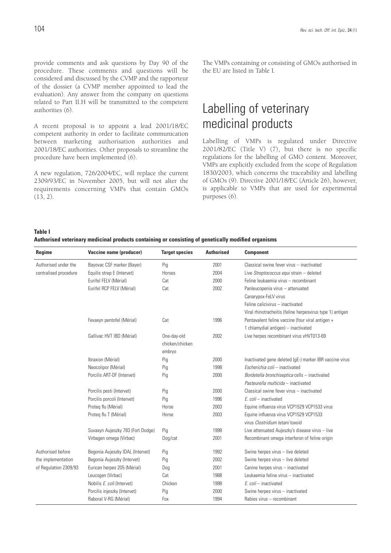provide comments and ask questions by Day 90 of the procedure. These comments and questions will be considered and discussed by the CVMP and the rapporteur of the dossier (a CVMP member appointed to lead the evaluation). Any answer from the company on questions related to Part II.H will be transmitted to the competent authorities (6).

A recent proposal is to appoint a lead 2001/18/EC competent authority in order to facilitate communication between marketing authorisation authorities and 2001/18/EC authorities. Other proposals to streamline the procedure have been implemented (6).

A new regulation, 726/2004/EC, will replace the current 2309/93/EC in November 2005, but will not alter the requirements concerning VMPs that contain GMOs (13, 2).

The VMPs containing or consisting of GMOs authorised in the EU are listed in Table I.

# Labelling of veterinary medicinal products

Labelling of VMPs is regulated under Directive 2001/82/EC (Title V) (7), but there is no specific regulations for the labelling of GMO content. Moreover, VMPs are explicitly excluded from the scope of Regulation 1830/2003, which concerns the traceability and labelling of GMOs (9). Directive 2001/18/EC (Article 26), however, is applicable to VMPs that are used for experimental purposes (6).

**Table I**

**Authorised veterinary medicinal products containing or consisting of genetically modified organisms**

| Regime                | Vaccine name (producer)           | <b>Target species</b> | <b>Authorised</b> | <b>Component</b>                                          |
|-----------------------|-----------------------------------|-----------------------|-------------------|-----------------------------------------------------------|
| Authorised under the  | Bayovac CSF marker (Bayer)        | Pig                   | 2001              | Classical swine fever virus - inactivated                 |
| centralised procedure | Equilis strep E (Intervet)        | Horses                | 2004              | Live Streptococcus equi strain - deleted                  |
|                       | Eurifel FELV (Mérial)             | Cat                   | 2000              | Feline leukaemia virus - recombinant                      |
|                       | Eurifel RCP FELV (Mérial)         | Cat                   | 2002              | Panleucopenia virus - attenuated                          |
|                       |                                   |                       |                   | Canarypox-FeLV virus                                      |
|                       |                                   |                       |                   | Feline calicivirus - inactivated                          |
|                       |                                   |                       |                   | Viral rhinotracheitis (feline herpesvirus type 1) antigen |
|                       | Fevaxyn pentofel (Mérial)         | Cat                   | 1996              | Pentavalent feline vaccine (four viral antigen +          |
|                       |                                   |                       |                   | 1 chlamydial antigen) - inactivated                       |
|                       | Gallivac HVT IBD (Mérial)         | One-day-old           | 2002              | Live herpes recombinant virus vHVT013-69                  |
|                       |                                   | chicken/chicken       |                   |                                                           |
|                       |                                   | embryo                |                   |                                                           |
|                       | Ibraxion (Mérial)                 | Pig                   | 2000              | Inactivated gene deleted (gE-) marker IBR vaccine virus   |
|                       | Neocolipor (Mérial)               | Pig                   | 1998              | Escherichia coli - inactivated                            |
|                       | Porcilis ART-DF (Intervet)        | Pig                   | 2000              | Bordetella bronchiseptica cells - inactivated             |
|                       |                                   |                       |                   | Pasteurella multicida - inactivated                       |
|                       | Porcilis pesti (Intervet)         | Pig                   | 2000              | Classical swine fever virus - inactivated                 |
|                       | Porcilis porcoli (Intervet)       | Pig                   | 1996              | E. coli - inactivated                                     |
|                       | Proteg flu (Mérial)               | Horse                 | 2003              | Equine influenza virus VCP1529 VCP1533 virus              |
|                       | Proteg flu T (Mérial)             | Horse                 | 2003              | Equine influenza virus VCP1529 VCP1533                    |
|                       |                                   |                       |                   | virus Clostridium tetani toxoid                           |
|                       | Suvaxyn Aujeszky 783 (Fort Dodge) | Pig                   | 1998              | Live attenuated Aujeszky's disease virus - live           |
|                       | Virbagen omega (Virbac)           | Dog/cat               | 2001              | Recombinant omega interferon of feline origin             |
| Authorised before     | Begonia Aujeszky IDAL (Intervet)  | Pig                   | 1992              | Swine herpes virus - live deleted                         |
| the implementation    | Begonia Aujeszky (Intervet)       | Pig                   | 2002              | Swine herpes virus - live deleted                         |
| of Regulation 2309/93 | Eurican herpes 205 (Mérial)       | Dog                   | 2001              | Canine herpes virus - inactivated                         |
|                       | Leucogen (Virbac)                 | Cat                   | 1988              | Leukaemia feline virus - inactivated                      |
|                       | Nobilis E. coli (Intervet)        | Chicken               | 1998              | $E$ . coli - inactivated                                  |
|                       | Porcilis injeszky (Intervet)      | Pig                   | 2000              | Swine herpes virus - inactivated                          |
|                       | Raboral V-RG (Mérial)             | Fox                   | 1994              | Rabies virus - recombinant                                |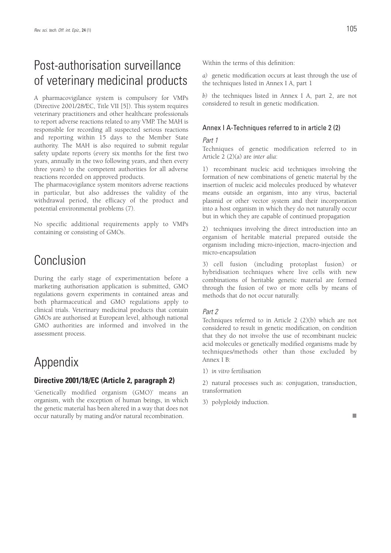# Post-authorisation surveillance of veterinary medicinal products

A pharmacovigilance system is compulsory for VMPs (Directive 2001/28/EC, Title VII [5]). This system requires veterinary practitioners and other healthcare professionals to report adverse reactions related to any VMP. The MAH is responsible for recording all suspected serious reactions and reporting within 15 days to the Member State authority. The MAH is also required to submit regular safety update reports (every six months for the first two years, annually in the two following years, and then every three years) to the competent authorities for all adverse reactions recorded on approved products.

The pharmacovigilance system monitors adverse reactions in particular, but also addresses the validity of the withdrawal period, the efficacy of the product and potential environmental problems (7).

No specific additional requirements apply to VMPs containing or consisting of GMOs.

# Conclusion

During the early stage of experimentation before a marketing authorisation application is submitted, GMO regulations govern experiments in contained areas and both pharmaceutical and GMO regulations apply to clinical trials. Veterinary medicinal products that contain GMOs are authorised at European level, although national GMO authorities are informed and involved in the assessment process.

# Appendix

### **Directive 2001/18/EC (Article 2, paragraph 2)**

'Genetically modified organism (GMO)' means an organism, with the exception of human beings, in which the genetic material has been altered in a way that does not occur naturally by mating and/or natural recombination.

Within the terms of this definition:

*a)* genetic modification occurs at least through the use of the techniques listed in Annex I A, part 1

*b)* the techniques listed in Annex I A, part 2, are not considered to result in genetic modification.

#### Annex I A-Techniques referred to in article 2 (2)

#### Part 1

Techniques of genetic modification referred to in Article 2 (2)(a) are *inter alia*:

1) recombinant nucleic acid techniques involving the formation of new combinations of genetic material by the insertion of nucleic acid molecules produced by whatever means outside an organism, into any virus, bacterial plasmid or other vector system and their incorporation into a host organism in which they do not naturally occur but in which they are capable of continued propagation

2) techniques involving the direct introduction into an organism of heritable material prepared outside the organism including micro-injection, macro-injection and micro-encapsulation

3) cell fusion (including protoplast fusion) or hybridisation techniques where live cells with new combinations of heritable genetic material are formed through the fusion of two or more cells by means of methods that do not occur naturally.

#### Part 2

Techniques referred to in Article 2 (2)(b) which are not considered to result in genetic modification, on condition that they do not involve the use of recombinant nucleic acid molecules or genetically modified organisms made by techniques/methods other than those excluded by Annex I B:

1) *in vitro* fertilisation

2) natural processes such as: conjugation, transduction, transformation

3) polyploidy induction.

 $\mathbf{r}$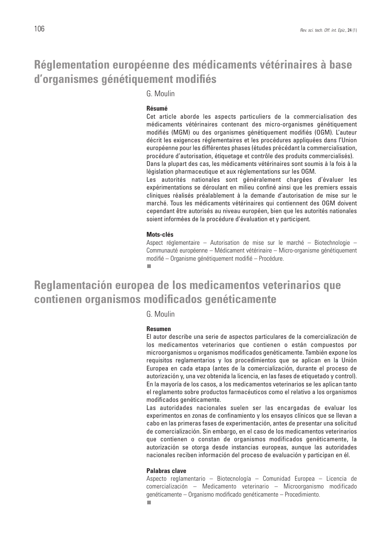# **Réglementation européenne des médicaments vétérinaires à base d'organismes génétiquement modifiés**

G. Moulin

#### **Résumé**

Cet article aborde les aspects particuliers de la commercialisation des médicaments vétérinaires contenant des micro-organismes génétiquement modifiés (MGM) ou des organismes génétiquement modifiés (OGM). L'auteur décrit les exigences réglementaires et les procédures appliquées dans l'Union européenne pour les différentes phases (études précédant la commercialisation, procédure d'autorisation, étiquetage et contrôle des produits commercialisés). Dans la plupart des cas, les médicaments vétérinaires sont soumis à la fois à la

législation pharmaceutique et aux réglementations sur les OGM. Les autorités nationales sont généralement chargées d'évaluer les expérimentations se déroulant en milieu confiné ainsi que les premiers essais cliniques réalisés préalablement à la demande d'autorisation de mise sur le marché. Tous les médicaments vétérinaires qui contiennent des OGM doivent cependant être autorisés au niveau européen, bien que les autorités nationales soient informées de la procédure d'évaluation et y participent.

#### **Mots-clés**

Aspect réglementaire – Autorisation de mise sur le marché – Biotechnologie – Communauté européenne – Médicament vétérinaire – Micro-organisme génétiquement modifié – Organisme génétiquement modifié – Procédure. п

# **Reglamentación europea de los medicamentos veterinarios que contienen organismos modificados genéticamente**

### G. Moulin

#### **Resumen**

El autor describe una serie de aspectos particulares de la comercialización de los medicamentos veterinarios que contienen o están compuestos por microorganismos u organismos modificados genéticamente. También expone los requisitos reglamentarios y los procedimientos que se aplican en la Unión Europea en cada etapa (antes de la comercialización, durante el proceso de autorización y, una vez obtenida la licencia, en las fases de etiquetado y control). En la mayoría de los casos, a los medicamentos veterinarios se les aplican tanto el reglamento sobre productos farmacéuticos como el relativo a los organismos modificados genéticamente.

Las autoridades nacionales suelen ser las encargadas de evaluar los experimentos en zonas de confinamiento y los ensayos clínicos que se llevan a cabo en las primeras fases de experimentación, antes de presentar una solicitud de comercialización. Sin embargo, en el caso de los medicamentos veterinarios que contienen o constan de organismos modificados genéticamente, la autorización se otorga desde instancias europeas, aunque las autoridades nacionales reciben información del proceso de evaluación y participan en él.

#### **Palabras clave**

Aspecto reglamentario – Biotecnología – Comunidad Europea – Licencia de comercialización – Medicamento veterinario – Microorganismo modificado genéticamente – Organismo modificado genéticamente – Procedimiento.п